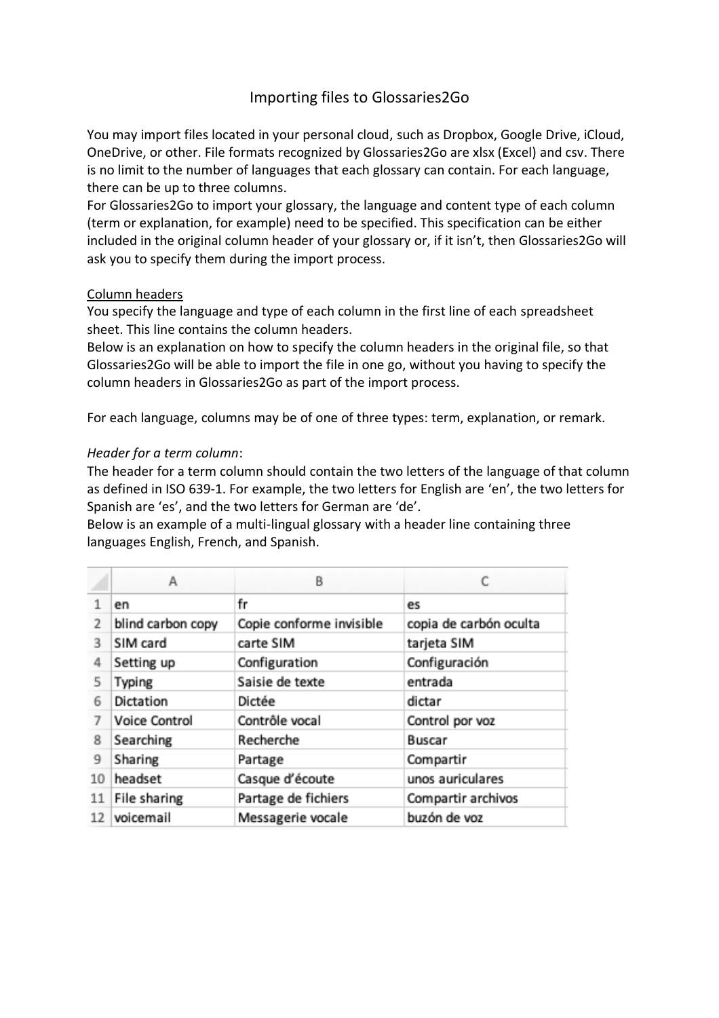# Importing files to Glossaries2Go

You may import files located in your personal cloud, such as Dropbox, Google Drive, iCloud, OneDrive, or other. File formats recognized by Glossaries2Go are xlsx (Excel) and csv. There is no limit to the number of languages that each glossary can contain. For each language, there can be up to three columns.

For Glossaries2Go to import your glossary, the language and content type of each column (term or explanation, for example) need to be specified. This specification can be either included in the original column header of your glossary or, if it isn't, then Glossaries2Go will ask you to specify them during the import process.

### Column headers

You specify the language and type of each column in the first line of each spreadsheet sheet. This line contains the column headers.

Below is an explanation on how to specify the column headers in the original file, so that Glossaries2Go will be able to import the file in one go, without you having to specify the column headers in Glossaries2Go as part of the import process.

For each language, columns may be of one of three types: term, explanation, or remark.

### *Header for a term column*:

The header for a term column should contain the two letters of the language of that column as defined in [ISO 639-1.](http://en.wikipedia.org/wiki/List_of_ISO_639-1_codes) For example, the two letters for English are 'en', the two letters for Spanish are 'es', and the two letters for German are 'de'.

Below is an example of a multi-lingual glossary with a header line containing three languages English, French, and Spanish.

|    | А                 | В                        |                        |
|----|-------------------|--------------------------|------------------------|
|    | en                | fr                       | es                     |
| 2  | blind carbon copy | Copie conforme invisible | copia de carbón oculta |
| 3  | SIM card          | carte SIM                | tarjeta SIM            |
| 4  | Setting up        | Configuration            | Configuración          |
| 5  | Typing            | Saisie de texte          | entrada                |
| 6  | Dictation         | Dictée                   | dictar                 |
| 7  | Voice Control     | Contrôle vocal           | Control por voz        |
| 8  | Searching         | Recherche                | Buscar                 |
| 9  | Sharing           | Partage                  | Compartir              |
| 10 | headset           | Casque d'écoute          | unos auriculares       |
| 11 | File sharing      | Partage de fichiers      | Compartir archivos     |
| 12 | voicemail         | Messagerie vocale        | buzón de voz           |